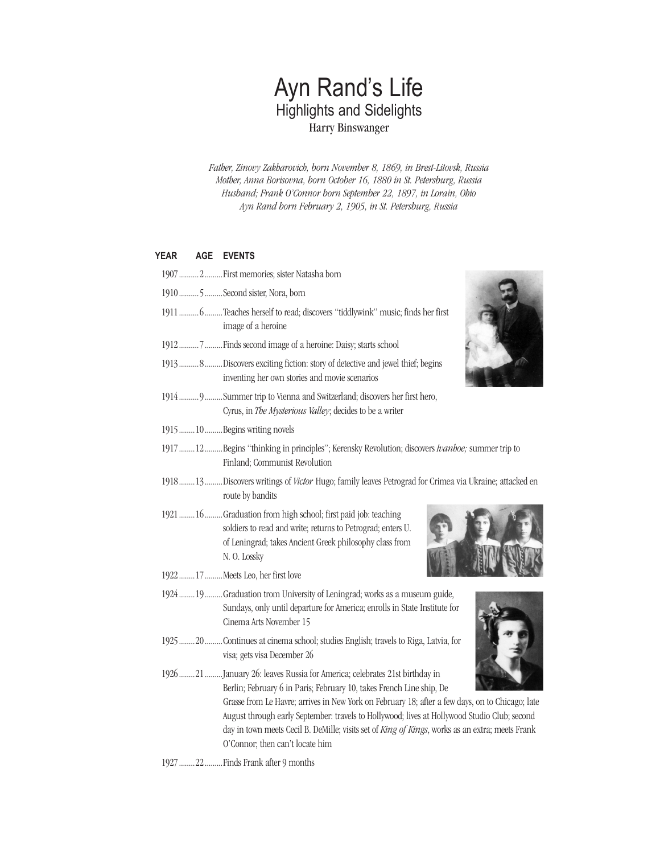# Ayn Rand's Life Highlights and Sidelights Harry Binswanger

*Father, Zinovy Zakharovich, born November 8, 1869, in Brest-Litovsk, Russia Mother, Anna Borisovna, born October 16, 1880 in St. Petersburg, Russia Husband; Frank O'Connor born September 22, 1897, in Lorain, Ohio Ayn Rand born February 2, 1905, in St. Petersburg, Russia*

# **YEAR AGE EVENTS**

- 1907..........2.........First memories; sister Natashaborn
- 1910..........5.........Second sister, Nora, born
- 1911..........6.........Teaches herself toread;discovers"tiddlywink" music; finds her first image of a heroine
- 1912...........7..........Finds second image of a heroine: Daisy; starts school
- 1913..........8.........Discovers exciting fiction: story of detective and jewel thief; begins inventing her own stories and movie scenarios
- 1914..........9.........Summer trip to Vienna and Switzerland; discovers her first hero, Cyrus, in *The Mysterious Valley*; decides to be a writer
- 1915........10.........Begins writing novels
- 1917........12.........Begins"thinkingin principles"; Kerensky Revolution;discovers *Ivanhoe;* summer tripto Finland; Communist Revolution
- 1918........13.........Discovers writings of *Victor* Hugo; family leaves Petrograd for Crimea via Ukraine; attacked en route by bandits
- 1921........16..........Graduation from high school; first paid job: teaching soldiers to read and write; returns to Petrograd; enters U. of Leningrad; takes Ancient Greek philosophy class from N. O.Lossky
- 1922........17.........MeetsLeo, her first love
- 1924........19.........Graduation trom University of Leningrad; works as a museum guide, Sundays, only until departure for America; enrolls in State Institute for Cinema Arts November 15
- 1925........20.........Continues at cinema school; studies English; travels to Riga, Latvia, for visa; gets visa December 26
- 1926........21.........January 26: leaves Russia for America; celebrates 21st birthday in Berlin; February 6 in Paris; February 10, takes French Line ship, De Grasse from Le Havre; arrives in New York on February 18; after a few days, on to Chicago; late August through early September: travels to Hollywood; lives at Hollywood Studio Club; second day in town meets Cecil B. DeMille; visits set of *King of Kings*, works as an extra; meets Frank O'Connor; then can't locate him
- 1927........22..........Finds Frank after 9 months



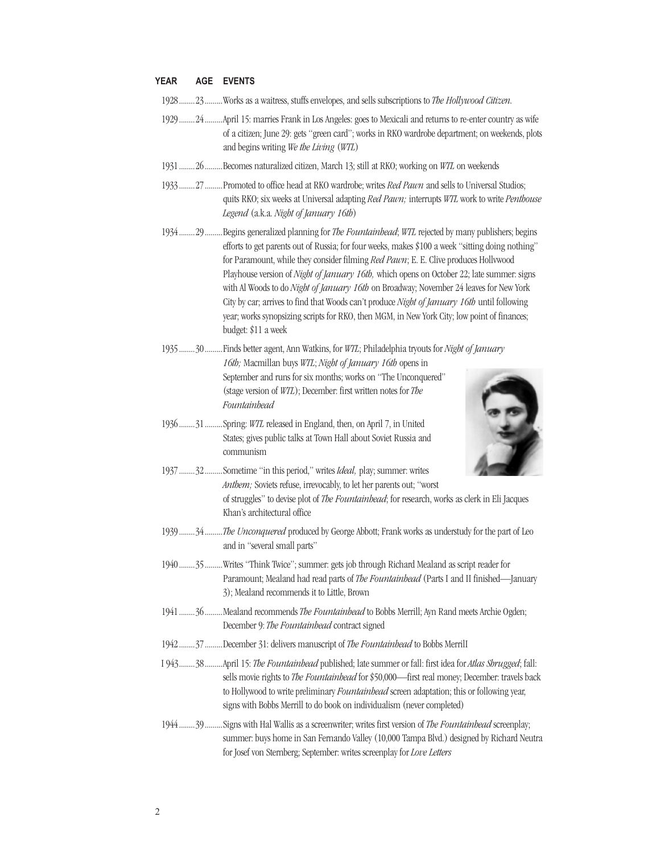### **YEAR AGE EVENTS**

- 1928........23.........Worksasa waitress, stuffs envelopes,andsells subscriptions to *The Hollywood Citizen.*
- 1929........24.........April15: marriesFrankin LosAngeles:goes to Mexicaliandreturns tore-enter countryas wife of a citizen; June 29: gets "green card"; works in RKO wardrobe department; on weekends, plots andbegins writing *We the Living* (*WTL*)
- 1931........26.........Becomes naturalized citizen, March 13; still at RKO; working on *WTL* on weekends
- 1933........27..........Promoted to office head at RKO wardrobe; writes *Red Pawn* and sells to Universal Studios; quits RKO; six weeksat Universaladapting *Red Pawn;* interrupts *WTL* workto write *Penthouse Legend* (a.k.a. *Night of January 16th*)
- 1934........29.........Begins generalized planning for The Fountainhead; WTL rejected by many publishers; begins efforts to get parents out of Russia; for four weeks, makes \$100 a week "sitting doing nothing" for Paramount, while they consider filming *Red Pawn*; E. E. Clive produces Hollywood Playhouse version of *Night of January 16th*, which opens on October 22; late summer: signs with Al Woods to do *Night of January 16th* on Broadway; November 24 leaves for New York City by car; arrives to find that Woods can't produce *Night of January 16th* until following year; works synopsizing scripts for RKO, then MGM, in New York City; low point of finances; budget:\$11a week
- 1935........30.........Findsbetteragent,Ann Watkins, for *WTL*; Philadelphiatryouts for *Night of January 16th;* Macmillan buys *WTL*; *Night of January 16th* opens in September and runs for six months; works on "The Unconquered" (stage version of *WTL*); December: first written notes for *The Fountainhead*
- 1936........31.........Spring: *WTL*releasedin England, then,on April7, in United States; gives public talks at Town Hall about Soviet Russia and communism



- 1937........32.........Sometime"in thisperiod," writes *Ideal,* play; summer: writes *Anthem;* Soviets refuse, irrevocably, to let her parents out; "worst of struggles" to devise plot of *The Fountainhead*; for research, works as clerk in Eli Jacques Khan's architectural office
- 1939.........34..........*The Unconquered* produced by George Abbott; Frank works as understudy for the part of Leo and in "several small parts"
- 1940........35.........Writes "Think Twice"; summer: gets job through Richard Mealand as script reader for Paramount; Mealand had read parts of *The Fountainhead* (Parts I and II finished—January 3); Mealand recommends it to Little, Brown
- 1941........36.........Mealand recommends The Fountainhead to Bobbs Merrill; Ayn Rand meets Archie Ogden; December9:*The Fountainhead* contract signed
- 1942.........37.........December 31: delivers manuscript of *The Fountainhead* to Bobbs MerrilI
- I943........38.........April15:*The Fountainhead* published; late summeror fall: first ideafor *Atlas Shrugged*; fall: sells movie rights to *The Fountainhead* for \$50,000—first real money; December: travels back to Hollywood to write preliminary *Fountainhead* screen adaptation; this or following year, signs with Bobbs Merrill to do book on individualism (never completed)
- 1944........39.........Signs with Hal Wallis as a screenwriter; writes first version of *The Fountainhead* screenplay; summer: buys home in San Fernando Valley (10,000 Tampa Blvd.) designed by Richard Neutra for Josef von Sternberg; September: writes screenplay for *Love Letters*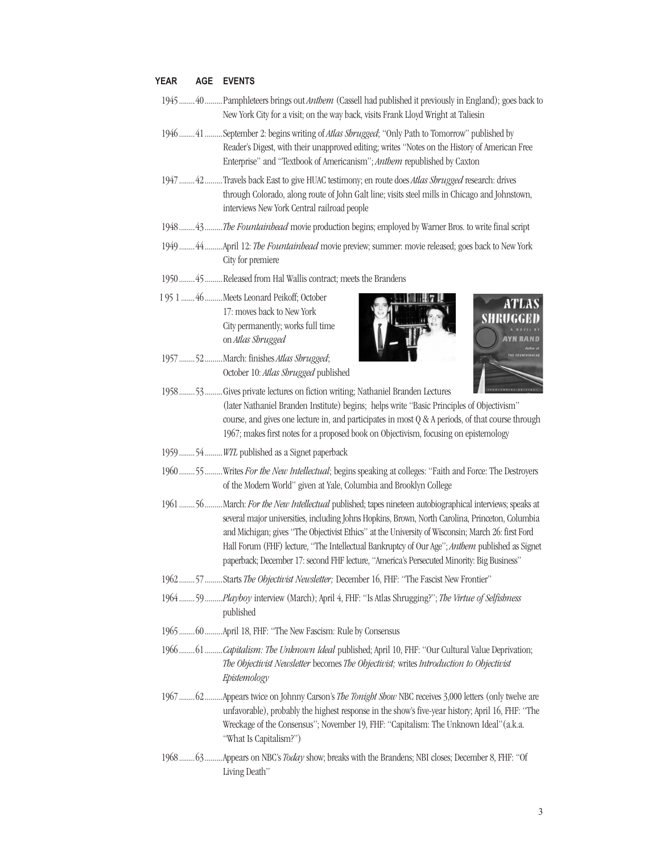## **YEAR AGE EVENTS**

- 1945........40.........Pamphleteers brings out *Anthem* (Cassell had published it previously in England); goes back to New York City for a visit; on the way back, visits Frank Lloyd Wright at Taliesin
- 1946........41.........September2:begins writingof *Atlas Shrugged*;"Only Path to Tomorrow"publishedby Reader's Digest, with their unapproved editing; writes "Notes on the History of American Free Enterprise" and "Textbook of Americanism"; *Anthem* republished by Caxton
- 1947........42.........Travelsback East togive HUAC testimony; en routedoes *Atlas Shrugged* research:drives through Colorado, along route of John Galt line; visits steel mills in Chicago and Johnstown, interviews New York Central railroad people
- 1948........43.........*The Fountainhead* movieproduction begins; employedby Warner Bros. to write final script
- 1949........44.........April12:*The Fountainhead* moviepreview; summer: movie released;goesbackto New York City for premiere
- 1950........45.........Releasedfrom Hal Wallis contract; meets the Brandens
- I 951.......46.........Meets Leonard Peikoff; October 17: moves back to New York City permanently; works full time on *Atlas Shrugged*
- 1957........52.........March: finishes*Atlas Shrugged*; October10:*Atlas Shrugged* published





- 1958........53.........Gives private lectures on fiction writing; Nathaniel Branden Lectures (later Nathaniel Branden Institute) begins; helps write "Basic Principles of Objectivism" course, and gives one lecture in, and participates in most  $Q & A$  periods, of that course through 1967; makes first notes for a proposed book on Objectivism, focusing on epistemology
- 1959.........54.........*WTL* published as a Signet paperback
- 1960........55.........Writes *For the New Intellectual*; begins speakingat colleges:"Faith andForce: The Destroyers of the Modern World" given at Yale, Columbia and Brooklyn College
- 1961........56.........March: *For the New Intellectual* published; tapes nineteen autobiographical interviews; speaksat several major universities, including Johns Hopkins, Brown, North Carolina, Princeton, Columbia and Michigan; gives "The Objectivist Ethics" at the University of Wisconsin; March 26: first Ford Hall Forum (FHF) lecture, "The Intellectual Bankruptcy of Our Age"; Anthem published as Signet paperback; December 17: second FHF lecture, "America's Persecuted Minority: Big Business"
- 1962........57.........Starts*The Objectivist Newsletter;* December16,FHF:"TheFascist New Frontier"
- 1964........59.........*Playboy* interview (March);April4,FHF:"IsAtlasShrugging?"; *The Virtue of Selfishness*  published
- 1965........60.........April18,FHF:"The New Fascism: Ruleby Consensus
- 1966........61.........*Capitalism: The Unknown Ideal* published; April 10, FHF: "Our Cultural Value Deprivation; *The Objectivist Newsletter* becomes*The Objectivist;* writes *Introduction to Objectivist Epistemology*
- 1967.........62.........Appears twice on Johnny Carson's *The Tonight Show* NBC receives 3,000 letters (only twelve are unfavorable), probably the highest response in the show's five-year history; April 16, FHF: "The Wreckage of the Consensus"; November 19, FHF: "Capitalism: The Unknown Ideal"(a.k.a. "What Is Capitalism?")
- 1968........63.........Appearson NBC's*Today*show;breaks with the Brandens; NBI closes; December8,FHF:"Of Living Death"